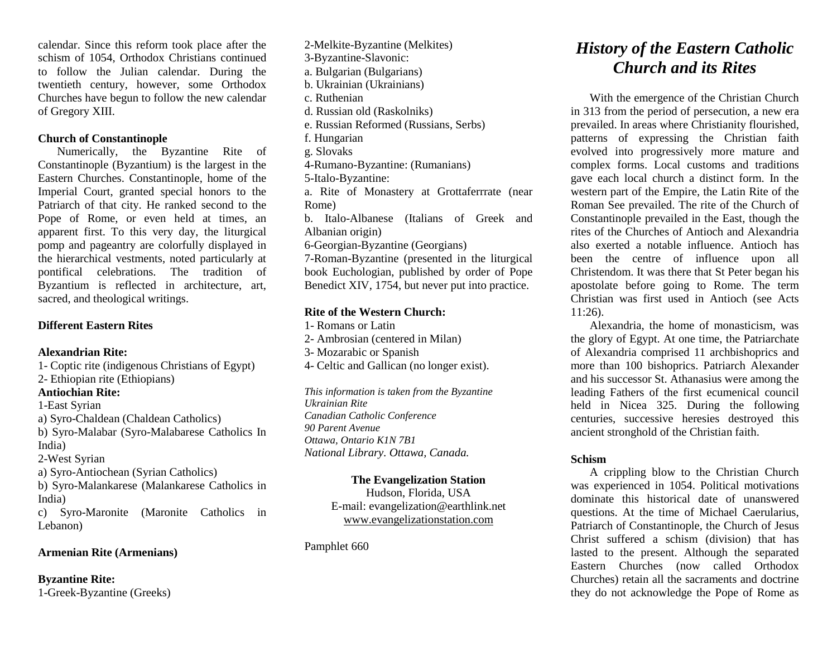calendar. Since this reform took place after the schism of 1054, Orthodox Christians continued to follow the Julian calendar. During the twentieth century, however, some Orthodox Churches have begun to follow the new calendar of Gregory XIII.

## **Church of Constantinople**

Numerically, the Byzantine Rite of Constantinople (Byzantium) is the largest in the Eastern Churches. Constantinople, home of the Imperial Court, granted special honors to the Patriarch of that city. He ranked second to the Pope of Rome, or even held at times, an apparent first. To this very day, the liturgical pomp and pageantry are colorfully displayed in the hierarchical vestments, noted particularly at pontifical celebrations. The tradition of Byzantium is reflected in architecture, art, sacred, and theological writings.

# **Different Eastern Rites**

## **Alexandrian Rite:**

1- Coptic rite (indigenous Christians of Egypt) 2- Ethiopian rite (Ethiopians)

# **Antiochian Rite:**

1-East Syrian

a) Syro-Chaldean (Chaldean Catholics)

b) Syro-Malabar (Syro-Malabarese Catholics In India)

2-West Syrian

a) Syro-Antiochean (Syrian Catholics)

b) Syro-Malankarese (Malankarese Catholics in India)

c) Syro-Maronite (Maronite Catholics in Lebanon)

# **Armenian Rite (Armenians)**

**Byzantine Rite:** 1-Greek-Byzantine (Greeks)

2-Melkite-Byzantine (Melkites) 3-Byzantine-Slavonic: a. Bulgarian (Bulgarians) b. Ukrainian (Ukrainians) c. Ruthenian d. Russian old (Raskolniks) e. Russian Reformed (Russians, Serbs) f. Hungarian g. Slovaks 4-Rumano-Byzantine: (Rumanians) 5-Italo-Byzantine: a. Rite of Monastery at Grottaferrrate (near Rome) b. Italo-Albanese (Italians of Greek and Albanian origin) 6-Georgian-Byzantine (Georgians) 7-Roman-Byzantine (presented in the liturgical book Euchologian, published by order of Pope Benedict XIV, 1754, but never put into practice.

## **Rite of the Western Church:**

1- Romans or Latin 2- Ambrosian (centered in Milan) 3- Mozarabic or Spanish 4- Celtic and Gallican (no longer exist).

*This information is taken from the Byzantine Ukrainian Rite Canadian Catholic Conference 90 Parent Avenue Ottawa, Ontario K1N 7B1 National Library. Ottawa, Canada.*

#### **The Evangelization Station**

Hudson, Florida, USA E-mail: evangelization@earthlink.net [www.evangelizationstation.com](http://www.pjpiisoe.org/)

Pamphlet 660

# *History of the Eastern Catholic Church and its Rites*

With the emergence of the Christian Church in 313 from the period of persecution, a new era prevailed. In areas where Christianity flourished, patterns of expressing the Christian faith evolved into progressively more mature and complex forms. Local customs and traditions gave each local church a distinct form. In the western part of the Empire, the Latin Rite of the Roman See prevailed. The rite of the Church of Constantinople prevailed in the East, though the rites of the Churches of Antioch and Alexandria also exerted a notable influence. Antioch has been the centre of influence upon all Christendom. It was there that St Peter began his apostolate before going to Rome. The term Christian was first used in Antioch (see Acts 11:26).

Alexandria, the home of monasticism, was the glory of Egypt. At one time, the Patriarchate of Alexandria comprised 11 archbishoprics and more than 100 bishoprics. Patriarch Alexander and his successor St. Athanasius were among the leading Fathers of the first ecumenical council held in Nicea 325. During the following centuries, successive heresies destroyed this ancient stronghold of the Christian faith.

# **Schism**

A crippling blow to the Christian Church was experienced in 1054. Political motivations dominate this historical date of unanswered questions. At the time of Michael Caerularius, Patriarch of Constantinople, the Church of Jesus Christ suffered a schism (division) that has lasted to the present. Although the separated Eastern Churches (now called Orthodox Churches) retain all the sacraments and doctrine they do not acknowledge the Pope of Rome as